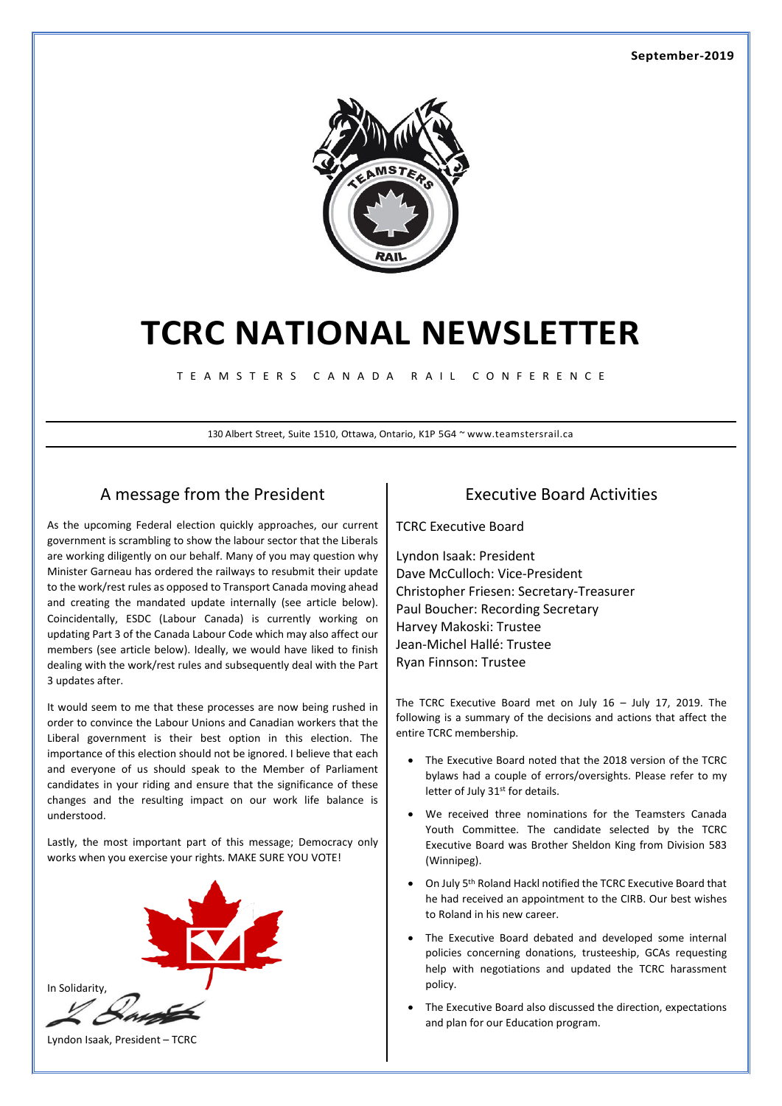#### **September-2019**



# **TCRC NATIONAL NEWSLETTER**

T E A M S T E R S C A N A D A R A I L C O N F E R E N C E

130 Albert Street, Suite 1510, Ottawa, Ontario, K1P 5G4 ~ www.teamstersrail.ca

### A message from the President

As the upcoming Federal election quickly approaches, our current government is scrambling to show the labour sector that the Liberals are working diligently on our behalf. Many of you may question why Minister Garneau has ordered the railways to resubmit their update to the work/rest rules as opposed to Transport Canada moving ahead and creating the mandated update internally (see article below). Coincidentally, ESDC (Labour Canada) is currently working on updating Part 3 of the Canada Labour Code which may also affect our members (see article below). Ideally, we would have liked to finish dealing with the work/rest rules and subsequently deal with the Part 3 updates after.

It would seem to me that these processes are now being rushed in order to convince the Labour Unions and Canadian workers that the Liberal government is their best option in this election. The importance of this election should not be ignored. I believe that each and everyone of us should speak to the Member of Parliament candidates in your riding and ensure that the significance of these changes and the resulting impact on our work life balance is understood.

Lastly, the most important part of this message; Democracy only works when you exercise your rights. MAKE SURE YOU VOTE!



#### Executive Board Activities

TCRC Executive Board

Lyndon Isaak: President Dave McCulloch: Vice-President Christopher Friesen: Secretary-Treasurer Paul Boucher: Recording Secretary Harvey Makoski: Trustee Jean-Michel Hallé: Trustee Ryan Finnson: Trustee

The TCRC Executive Board met on July 16 – July 17, 2019. The following is a summary of the decisions and actions that affect the entire TCRC membership.

- The Executive Board noted that the 2018 version of the TCRC bylaws had a couple of errors/oversights. Please refer to my letter of July 31<sup>st</sup> for details.
- We received three nominations for the Teamsters Canada Youth Committee. The candidate selected by the TCRC Executive Board was Brother Sheldon King from Division 583 (Winnipeg).
- On July 5th Roland Hackl notified the TCRC Executive Board that he had received an appointment to the CIRB. Our best wishes to Roland in his new career.
- The Executive Board debated and developed some internal policies concerning donations, trusteeship, GCAs requesting help with negotiations and updated the TCRC harassment policy.
- The Executive Board also discussed the direction, expectations and plan for our Education program.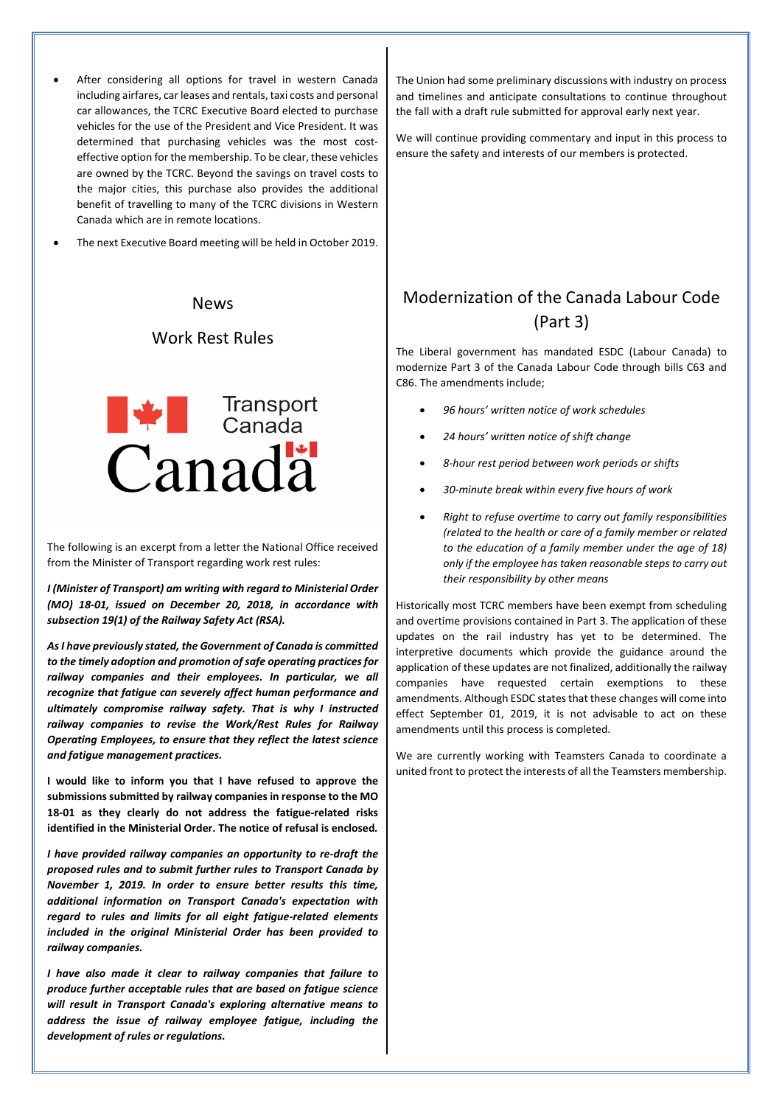- After considering all options for travel in western Canada including airfares, car leases and rentals, taxi costs and personal car allowances, the TCRC Executive Board elected to purchase vehicles for the use of the President and Vice President. It was determined that purchasing vehicles was the most costeffective option for the membership. To be clear, these vehicles are owned by the TCRC. Beyond the savings on travel costs to the major cities, this purchase also provides the additional benefit of travelling to many of the TCRC divisions in Western Canada which are in remote locations.
- The next Executive Board meeting will be held in October 2019.

#### News

### Work Rest Rules



The following is an excerpt from a letter the National Office received from the Minister of Transport regarding work rest rules:

*I (Minister of Transport) am writing with regard to Ministerial Order (MO) 18-01, issued on December 20, 2018, in accordance with subsection 19(1) of the Railway Safety Act (RSA).* 

*As I have previously stated, the Government of Canada is committed to the timely adoption and promotion of safe operating practices for railway companies and their employees. In particular, we all recognize that fatigue can severely affect human performance and ultimately compromise railway safety. That is why I instructed railway companies to revise the Work/Rest Rules for Railway Operating Employees, to ensure that they reflect the latest science and fatigue management practices.* 

**I would like to inform you that I have refused to approve the submissions submitted by railway companies in response to the MO 18-01 as they clearly do not address the fatigue-related risks identified in the Ministerial Order. The notice of refusal is enclosed***.* 

*I have provided railway companies an opportunity to re-draft the proposed rules and to submit further rules to Transport Canada by November 1, 2019. In order to ensure better results this time, additional information on Transport Canada's expectation with regard to rules and limits for all eight fatigue-related elements included in the original Ministerial Order has been provided to railway companies.* 

*I have also made it clear to railway companies that failure to produce further acceptable rules that are based on fatigue science will result in Transport Canada's exploring alternative means to address the issue of railway employee fatigue, including the development of rules or regulations.* 

The Union had some preliminary discussions with industry on process and timelines and anticipate consultations to continue throughout the fall with a draft rule submitted for approval early next year.

We will continue providing commentary and input in this process to ensure the safety and interests of our members is protected.

## Modernization of the Canada Labour Code (Part 3)

The Liberal government has mandated ESDC (Labour Canada) to modernize Part 3 of the Canada Labour Code through bills C63 and C86. The amendments include;

- *96 hours' written notice of work schedules*
- *24 hours' written notice of shift change*
- *8-hour rest period between work periods or shifts*
- *30-minute break within every five hours of work*
- *Right to refuse overtime to carry out family responsibilities (related to the health or care of a family member or related to the education of a family member under the age of 18) only if the employee has taken reasonable steps to carry out their responsibility by other means*

Historically most TCRC members have been exempt from scheduling and overtime provisions contained in Part 3. The application of these updates on the rail industry has yet to be determined. The interpretive documents which provide the guidance around the application of these updates are not finalized, additionally the railway companies have requested certain exemptions to these amendments. Although ESDC states that these changes will come into effect September 01, 2019, it is not advisable to act on these amendments until this process is completed.

We are currently working with Teamsters Canada to coordinate a united front to protect the interests of all the Teamsters membership.